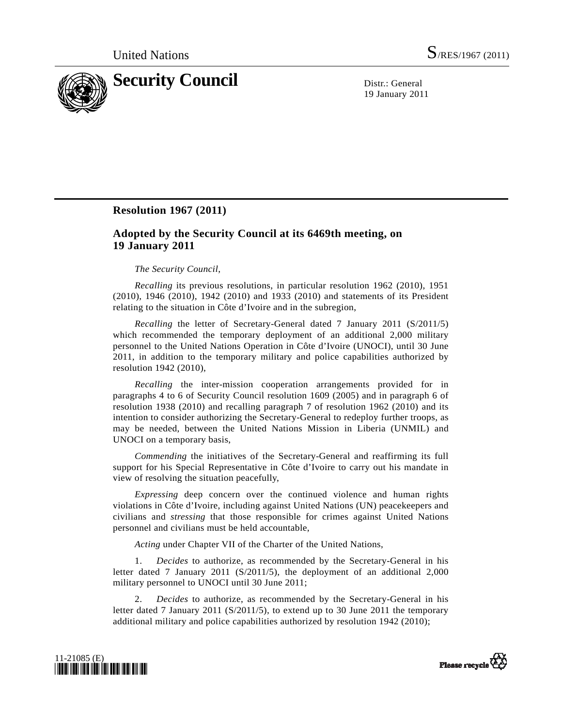

19 January 2011

## **Resolution 1967 (2011)**

## **Adopted by the Security Council at its 6469th meeting, on 19 January 2011**

## *The Security Council*,

*Recalling* its previous resolutions, in particular resolution 1962 (2010), 1951 (2010), 1946 (2010), 1942 (2010) and 1933 (2010) and statements of its President relating to the situation in Côte d'Ivoire and in the subregion,

*Recalling* the letter of Secretary-General dated 7 January 2011 (S/2011/5) which recommended the temporary deployment of an additional 2,000 military personnel to the United Nations Operation in Côte d'Ivoire (UNOCI), until 30 June 2011, in addition to the temporary military and police capabilities authorized by resolution 1942 (2010),

*Recalling* the inter-mission cooperation arrangements provided for in paragraphs 4 to 6 of Security Council resolution 1609 (2005) and in paragraph 6 of resolution 1938 (2010) and recalling paragraph 7 of resolution 1962 (2010) and its intention to consider authorizing the Secretary-General to redeploy further troops, as may be needed, between the United Nations Mission in Liberia (UNMIL) and UNOCI on a temporary basis,

*Commending* the initiatives of the Secretary-General and reaffirming its full support for his Special Representative in Côte d'Ivoire to carry out his mandate in view of resolving the situation peacefully,

*Expressing* deep concern over the continued violence and human rights violations in Côte d'Ivoire, including against United Nations (UN) peacekeepers and civilians and *stressing* that those responsible for crimes against United Nations personnel and civilians must be held accountable,

*Acting* under Chapter VII of the Charter of the United Nations,

 1. *Decides* to authorize, as recommended by the Secretary-General in his letter dated 7 January 2011 (S/2011/5), the deployment of an additional 2,000 military personnel to UNOCI until 30 June 2011;

 2. *Decides* to authorize, as recommended by the Secretary-General in his letter dated 7 January 2011 (S/2011/5), to extend up to 30 June 2011 the temporary additional military and police capabilities authorized by resolution 1942 (2010);